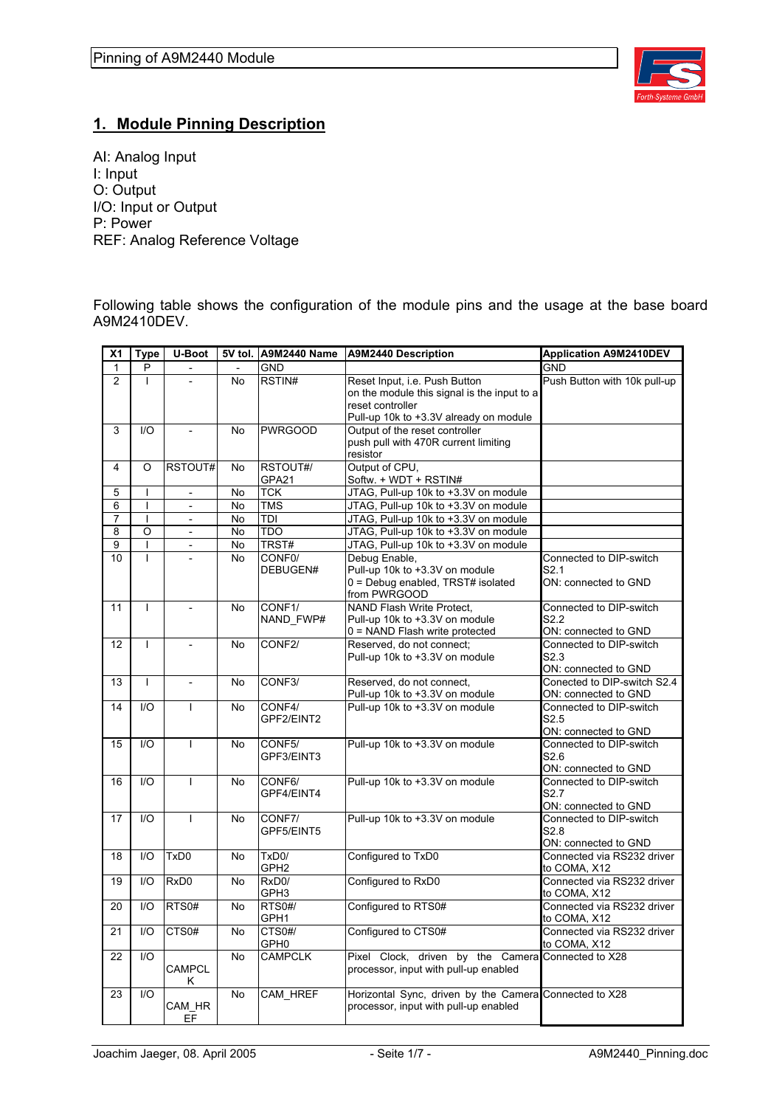

## **1. Module Pinning Description**

AI: Analog Input I: Input O: Output I/O: Input or Output P: Power REF: Analog Reference Voltage

Following table shows the configuration of the module pins and the usage at the base board A9M2410DEV.

| $\overline{\mathsf{x}}$ 1 | <b>Type</b>             | U-Boot                   |           | 5V tol. A9M2440 Name                   | A9M2440 Description                                                                                                                        | <b>Application A9M2410DEV</b>                                       |
|---------------------------|-------------------------|--------------------------|-----------|----------------------------------------|--------------------------------------------------------------------------------------------------------------------------------------------|---------------------------------------------------------------------|
| 1                         | P                       |                          |           | <b>GND</b>                             |                                                                                                                                            | <b>GND</b>                                                          |
| $\overline{2}$            |                         |                          | <b>No</b> | RSTIN#                                 | Reset Input, i.e. Push Button<br>on the module this signal is the input to a<br>reset controller<br>Pull-up 10k to +3.3V already on module | Push Button with 10k pull-up                                        |
| 3                         | 1/O                     |                          | <b>No</b> | <b>PWRGOOD</b>                         | Output of the reset controller<br>push pull with 470R current limiting<br>resistor                                                         |                                                                     |
| 4                         | O                       | RSTOUT#                  | <b>No</b> | RSTOUT#/<br>GPA21                      | Output of CPU,<br>Softw. + WDT + RSTIN#                                                                                                    |                                                                     |
| 5                         |                         | $\overline{\phantom{a}}$ | No        | <b>TCK</b>                             | JTAG, Pull-up 10k to +3.3V on module                                                                                                       |                                                                     |
| 6                         | L                       | $\overline{a}$           | <b>No</b> | <b>TMS</b>                             | JTAG, Pull-up 10k to +3.3V on module                                                                                                       |                                                                     |
| $\overline{7}$            | $\mathsf{I}$            | $\overline{\phantom{a}}$ | <b>No</b> | <b>TDI</b>                             | JTAG, Pull-up 10k to +3.3V on module                                                                                                       |                                                                     |
| 8                         | $\circ$                 | $\overline{a}$           | <b>No</b> | <b>TDO</b>                             | JTAG, Pull-up 10k to +3.3V on module                                                                                                       |                                                                     |
| 9                         | T                       | $\overline{\phantom{a}}$ | No        | TRST#                                  | JTAG, Pull-up 10k to +3.3V on module                                                                                                       |                                                                     |
| 10                        | L                       |                          | <b>No</b> | CONF <sub>0</sub><br>DEBUGEN#          | Debug Enable,<br>Pull-up 10k to +3.3V on module<br>0 = Debug enabled, TRST# isolated<br>from PWRGOOD                                       | Connected to DIP-switch<br>S2.1<br>ON: connected to GND             |
| 11                        | $\mathbf{I}$            | $\overline{\phantom{a}}$ | No        | CONF1/<br>NAND FWP#                    | NAND Flash Write Protect,<br>Pull-up 10k to +3.3V on module<br>0 = NAND Flash write protected                                              | Connected to DIP-switch<br>S <sub>2.2</sub><br>ON: connected to GND |
| 12                        | T                       | $\overline{a}$           | <b>No</b> | CONF2/                                 | Reserved, do not connect;<br>Pull-up 10k to +3.3V on module                                                                                | Connected to DIP-switch<br>S <sub>2.3</sub><br>ON: connected to GND |
| 13                        | L                       | $\overline{\phantom{a}}$ | <b>No</b> | CONF <sub>3</sub> /                    | Reserved, do not connect,<br>Pull-up 10k to +3.3V on module                                                                                | Conected to DIP-switch S2.4<br>ON: connected to GND                 |
| 14                        | 1/O                     | $\mathbf{I}$             | No.       | CONF4/<br>GPF2/EINT2                   | Pull-up 10k to +3.3V on module                                                                                                             | Connected to DIP-switch<br>S <sub>2.5</sub><br>ON: connected to GND |
| 15                        | $IVO$                   | $\mathbf{I}$             | <b>No</b> | CONF5/<br>GPF3/EINT3                   | Pull-up 10k to +3.3V on module                                                                                                             | Connected to DIP-switch<br>S2.6<br>ON: connected to GND             |
| 16                        | 1/O                     | $\overline{1}$           | <b>No</b> | CONF6/<br>GPF4/EINT4                   | Pull-up 10k to +3.3V on module                                                                                                             | Connected to DIP-switch<br>S2.7<br>ON: connected to GND             |
| 17                        | 1/O                     | $\mathbf{I}$             | No        | CONF7/<br>GPF5/EINT5                   | Pull-up 10k to +3.3V on module                                                                                                             | Connected to DIP-switch<br>S <sub>2.8</sub><br>ON: connected to GND |
| 18                        | $\mathsf{I}/\mathsf{O}$ | TxD <sub>0</sub>         | <b>No</b> | TxD <sub>0</sub> /<br>GPH <sub>2</sub> | Configured to TxD0                                                                                                                         | Connected via RS232 driver<br>to COMA, X12                          |
| 19                        | $U$                     | RxD <sub>0</sub>         | <b>No</b> | RxD <sub>0</sub> /<br>GPH3             | Configured to RxD0                                                                                                                         | Connected via RS232 driver<br>to COMA, X12                          |
| 20                        | $U$                     | RTS0#                    | No.       | RTS0#/<br>GPH1                         | Configured to RTS0#                                                                                                                        | Connected via RS232 driver<br>to COMA, X12                          |
| 21                        | $U$                     | CTS <sub>0#</sub>        | <b>No</b> | CTS0#/<br>GPH <sub>0</sub>             | Configured to CTS0#                                                                                                                        | Connected via RS232 driver<br>to COMA, X12                          |
| 22                        | 1/O                     | <b>CAMPCL</b><br>Κ       | <b>No</b> | <b>CAMPCLK</b>                         | Pixel Clock, driven by the Camera Connected to X28<br>processor, input with pull-up enabled                                                |                                                                     |
| 23                        | 1/O                     | CAM HR<br>EF             | <b>No</b> | CAM HREF                               | Horizontal Sync, driven by the Camera Connected to X28<br>processor, input with pull-up enabled                                            |                                                                     |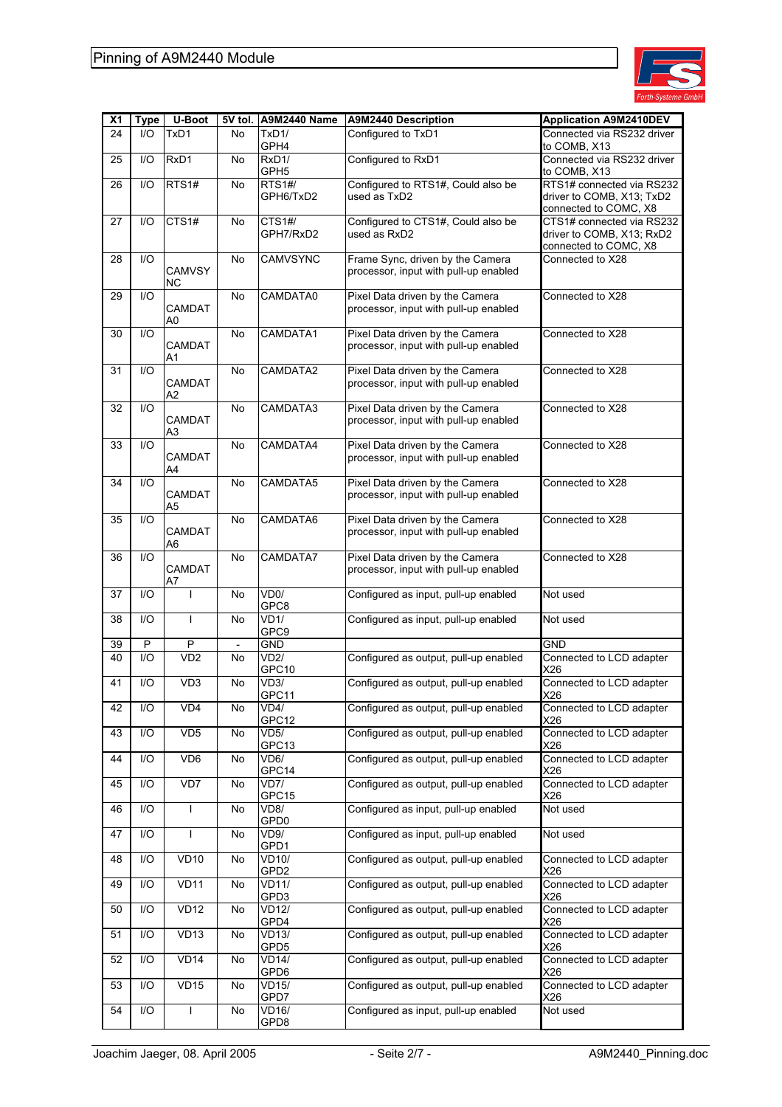

| <b>X1</b> | Type            | U-Boot                          |                          | 5V tol. A9M2440 Name      | <b>A9M2440 Description</b>                                                | <b>Application A9M2410DEV</b>                                                   |
|-----------|-----------------|---------------------------------|--------------------------|---------------------------|---------------------------------------------------------------------------|---------------------------------------------------------------------------------|
| 24        | I/O             | TxD1                            | No.                      | TxD1/<br>GPH4             | Configured to TxD1                                                        | Connected via RS232 driver<br>to COMB, X13                                      |
| 25        | 1/O             | RxD1                            | No                       | RxD1/<br>GPH <sub>5</sub> | Configured to RxD1                                                        | Connected via RS232 driver<br>to COMB, X13                                      |
| 26        | I/O             | RTS1#                           | No                       | RTS1#/<br>GPH6/TxD2       | Configured to RTS1#, Could also be<br>used as TxD2                        | RTS1# connected via RS232<br>driver to COMB, X13; TxD2<br>connected to COMC, X8 |
| 27        | I/O             | CTS1#                           | No                       | CTS1#/<br>GPH7/RxD2       | Configured to CTS1#, Could also be<br>used as RxD2                        | CTS1# connected via RS232<br>driver to COMB, X13; RxD2<br>connected to COMC, X8 |
| 28        | I/O             | <b>CAMVSY</b><br>ΝC             | No                       | <b>CAMVSYNC</b>           | Frame Sync, driven by the Camera<br>processor, input with pull-up enabled | Connected to X28                                                                |
| 29        | I/O             | <b>CAMDAT</b><br>A0             | No                       | CAMDATA0                  | Pixel Data driven by the Camera<br>processor, input with pull-up enabled  | Connected to X28                                                                |
| 30        | $UO$            | CAMDAT<br>A1                    | No                       | CAMDATA1                  | Pixel Data driven by the Camera<br>processor, input with pull-up enabled  | Connected to X28                                                                |
| 31        | I/O             | CAMDAT<br>A2                    | No                       | CAMDATA2                  | Pixel Data driven by the Camera<br>processor, input with pull-up enabled  | Connected to X28                                                                |
| 32        | I/O             | <b>CAMDAT</b><br>A3             | No                       | CAMDATA3                  | Pixel Data driven by the Camera<br>processor, input with pull-up enabled  | Connected to X28                                                                |
| 33        | I/O             | <b>CAMDAT</b><br>A4             | No                       | CAMDATA4                  | Pixel Data driven by the Camera<br>processor, input with pull-up enabled  | Connected to X28                                                                |
| 34        | I/O             | CAMDAT<br>A <sub>5</sub>        | <b>No</b>                | CAMDATA5                  | Pixel Data driven by the Camera<br>processor, input with pull-up enabled  | Connected to X28                                                                |
| 35        | $\mathsf{IO}$   | <b>CAMDAT</b><br>A <sub>6</sub> | <b>No</b>                | CAMDATA6                  | Pixel Data driven by the Camera<br>processor, input with pull-up enabled  | Connected to X28                                                                |
| 36        | I/O             | <b>CAMDAT</b><br>A7             | No                       | CAMDATA7                  | Pixel Data driven by the Camera<br>processor, input with pull-up enabled  | Connected to X28                                                                |
| 37        | I/O             | ı                               | No                       | VD <sub>0</sub> /<br>GPC8 | Configured as input, pull-up enabled                                      | Not used                                                                        |
| 38        | I/O             | $\mathbf{I}$                    | No                       | VD1/<br>GPC9              | Configured as input, pull-up enabled                                      | Not used                                                                        |
| 39        | P               | P                               | $\overline{\phantom{a}}$ | GND                       |                                                                           | GND                                                                             |
| 40        | $\overline{10}$ | VD2                             | No                       | <b>VD2/</b><br>GPC10      | Configured as output, pull-up enabled                                     | Connected to LCD adapter<br>X26                                                 |
| 41        | I/O             | VD <sub>3</sub>                 | No                       | VD3/<br>GPC11             | Configured as output, pull-up enabled                                     | Connected to LCD adapter<br>X26                                                 |
| 42        | I/O             | VD4                             | No                       | VD4/<br>GPC12             | Configured as output, pull-up enabled                                     | Connected to LCD adapter<br>X26                                                 |
| 43        | I/O             | VD <sub>5</sub>                 | No                       | <b>VD5/</b><br>GPC13      | Configured as output, pull-up enabled                                     | Connected to LCD adapter<br>X26                                                 |
| 44        | I/O             | VD6                             | No                       | VD6/<br>GPC14             | Configured as output, pull-up enabled                                     | Connected to LCD adapter<br>X26                                                 |
| 45        | I/O             | VD7                             | No                       | VD7/<br>GPC15             | Configured as output, pull-up enabled                                     | Connected to LCD adapter<br>X26                                                 |
| 46        | I/O             | $\mathbf{I}$                    | No                       | VD8/<br>GPD <sub>0</sub>  | Configured as input, pull-up enabled                                      | Not used                                                                        |
| 47        | I/O             | ı                               | No                       | VD9/<br>GPD1              | Configured as input, pull-up enabled                                      | Not used                                                                        |
| 48        | I/O             | VD10                            | No                       | <b>VD10/</b><br>GPD2      | Configured as output, pull-up enabled                                     | Connected to LCD adapter<br>X26                                                 |
| 49        | I/O             | <b>VD11</b>                     | No                       | VD11/<br>GPD3             | Configured as output, pull-up enabled                                     | Connected to LCD adapter<br>X26                                                 |
| 50        | I/O             | VD12                            | No                       | <b>VD12/</b><br>GPD4      | Configured as output, pull-up enabled                                     | Connected to LCD adapter<br>X26                                                 |
| 51        | I/O             | VD <sub>13</sub>                | No                       | VD13/<br>GPD5             | Configured as output, pull-up enabled                                     | Connected to LCD adapter<br>X26                                                 |
| 52        | I/O             | <b>VD14</b>                     | No                       | VD14/<br>GPD6             | Configured as output, pull-up enabled                                     | Connected to LCD adapter<br>X26                                                 |
| 53        | I/O             | VD15                            | No                       | <b>VD15/</b><br>GPD7      | Configured as output, pull-up enabled                                     | Connected to LCD adapter<br>X26                                                 |
| 54        | I/O             | I                               | No                       | VD16/<br>GPD8             | Configured as input, pull-up enabled                                      | Not used                                                                        |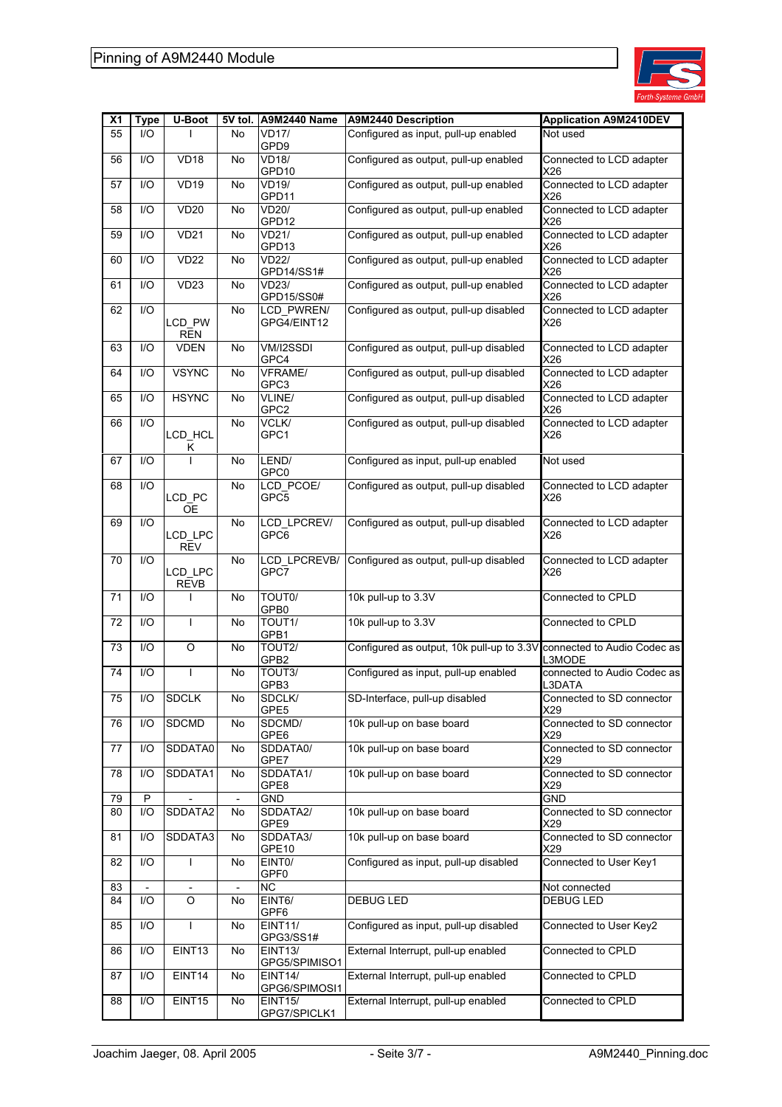

| X <sub>1</sub> | <b>Type</b> | U-Boot                                     | 5V tol. | <b>A9M2440 Name</b>              | <b>A9M2440 Description</b>                                            | <b>Application A9M2410DEV</b>         |
|----------------|-------------|--------------------------------------------|---------|----------------------------------|-----------------------------------------------------------------------|---------------------------------------|
| 55             | I/O         |                                            | No      | <b>VD17/</b><br>GPD9             | Configured as input, pull-up enabled                                  | Not used                              |
| 56             | I/O         | <b>VD18</b>                                | No      | <b>VD18/</b><br>GPD10            | Configured as output, pull-up enabled                                 | Connected to LCD adapter<br>X26       |
| 57             | 1/O         | <b>VD19</b>                                | No      | VD19/<br>GPD11                   | Configured as output, pull-up enabled                                 | Connected to LCD adapter<br>X26       |
| 58             | I/O         | <b>VD20</b>                                | No      | <b>VD20/</b><br>GPD12            | Configured as output, pull-up enabled                                 | Connected to LCD adapter<br>X26       |
| 59             | I/O         | <b>VD21</b>                                | No      | VD21/<br>GPD13                   | Configured as output, pull-up enabled                                 | Connected to LCD adapter<br>X26       |
| 60             | 1/O         | <b>VD22</b>                                | No      | <b>VD22/</b><br>GPD14/SS1#       | Configured as output, pull-up enabled                                 | Connected to LCD adapter<br>X26       |
| 61             | I/O         | VD <sub>23</sub>                           | No      | VD23/<br>GPD15/SS0#              | Configured as output, pull-up enabled                                 | Connected to LCD adapter<br>X26       |
| 62             | I/O         | LCD_PW<br><b>REN</b>                       | No      | <b>LCD PWREN/</b><br>GPG4/EINT12 | Configured as output, pull-up disabled                                | Connected to LCD adapter<br>X26       |
| 63             | $UO$        | <b>VDEN</b>                                | No      | VM/I2SSDI<br>GPC4                | Configured as output, pull-up disabled                                | Connected to LCD adapter<br>X26       |
| 64             | I/O         | <b>VSYNC</b>                               | No      | VFRAME/<br>GPC3                  | Configured as output, pull-up disabled                                | Connected to LCD adapter<br>X26       |
| 65             | 1/O         | <b>HSYNC</b>                               | No      | VLINE/<br>GPC2                   | Configured as output, pull-up disabled                                | Connected to LCD adapter<br>X26       |
| 66             | I/O         | LCD_HCL<br>κ                               | No      | <b>VCLK/</b><br>GPC1             | Configured as output, pull-up disabled                                | Connected to LCD adapter<br>X26       |
| 67             | 1/O         |                                            | No      | LEND/<br>GPC0                    | Configured as input, pull-up enabled                                  | Not used                              |
| 68             | I/O         | LCD_PC<br><b>OE</b>                        | No      | LCD_PCOE/<br>GPC5                | Configured as output, pull-up disabled                                | Connected to LCD adapter<br>X26       |
| 69             | $UO$        | LCD_LPC<br><b>REV</b>                      | No      | LCD LPCREV/<br>GPC6              | Configured as output, pull-up disabled                                | Connected to LCD adapter<br>X26       |
| 70             | 1/O         | LCD_LPC<br><b>REVB</b>                     | No      | LCD_LPCREVB/<br>GPC7             | Configured as output, pull-up disabled                                | Connected to LCD adapter<br>X26       |
| 71             | I/O         |                                            | No      | TOUT0/<br>GPB0                   | 10k pull-up to 3.3V                                                   | Connected to CPLD                     |
| 72             | 1/O         | T                                          | No      | TOUT1/<br>GPB1                   | 10k pull-up to 3.3V                                                   | Connected to CPLD                     |
| 73             | I/O         | $\mathsf O$                                | No      | TOUT <sub>2/</sub><br>GPB2       | Configured as output, 10k pull-up to 3.3V connected to Audio Codec as | L3MODE                                |
| 74             | I/O         | $\mathbf{I}$                               | No      | TOUT3/<br>GPB3                   | Configured as input, pull-up enabled                                  | connected to Audio Codec as<br>L3DATA |
| 75             | I/O         | <b>SDCLK</b>                               | No      | SDCLK/<br>GPE5                   | SD-Interface, pull-up disabled                                        | Connected to SD connector<br>X29      |
| 76             | I/O         | <b>SDCMD</b>                               | No      | SDCMD/<br>GPE6                   | 10k pull-up on base board                                             | Connected to SD connector<br>X29      |
| 77             | I/O         | SDDATA0                                    | No      | SDDATA0/<br>GPE7                 | 10k pull-up on base board                                             | Connected to SD connector<br>X29      |
| 78             | I/O         | SDDATA1                                    | No      | SDDATA1/<br>GPE8                 | 10k pull-up on base board                                             | Connected to SD connector<br>X29      |
| 79<br>80       | P<br>I/O    | SDDATA2                                    | No      | GND<br>SDDATA2/                  | 10k pull-up on base board                                             | GND<br>Connected to SD connector      |
| 81             | I/O         | SDDATA3                                    | No      | GPE9<br>SDDATA3/                 | 10k pull-up on base board                                             | X29<br>Connected to SD connector      |
| 82             | I/O         | T                                          | No      | GPE10<br>EINT <sub>0</sub> /     | Configured as input, pull-up disabled                                 | X29<br>Connected to User Key1         |
|                |             |                                            |         | GPF <sub>0</sub>                 |                                                                       |                                       |
| 83<br>84       | I/O         | $\overline{\phantom{a}}$<br>$\overline{O}$ | No      | <b>NC</b><br>EINT6/              | <b>DEBUG LED</b>                                                      | Not connected<br>DEBUG LED            |
|                |             |                                            |         | GPF6                             |                                                                       |                                       |
| 85             | I/O         | T                                          | No      | <b>EINT11/</b><br>GPG3/SS1#      | Configured as input, pull-up disabled                                 | Connected to User Key2                |
| 86             | I/O         | EINT13                                     | No      | <b>EINT13/</b><br>GPG5/SPIMISO1  | External Interrupt, pull-up enabled                                   | Connected to CPLD                     |
| 87             | I/O         | EINT14                                     | No      | <b>EINT14/</b><br>GPG6/SPIMOSI1  | External Interrupt, pull-up enabled                                   | Connected to CPLD                     |
| 88             | I/O         | EINT15                                     | No      | <b>EINT15/</b><br>GPG7/SPICLK1   | External Interrupt, pull-up enabled                                   | Connected to CPLD                     |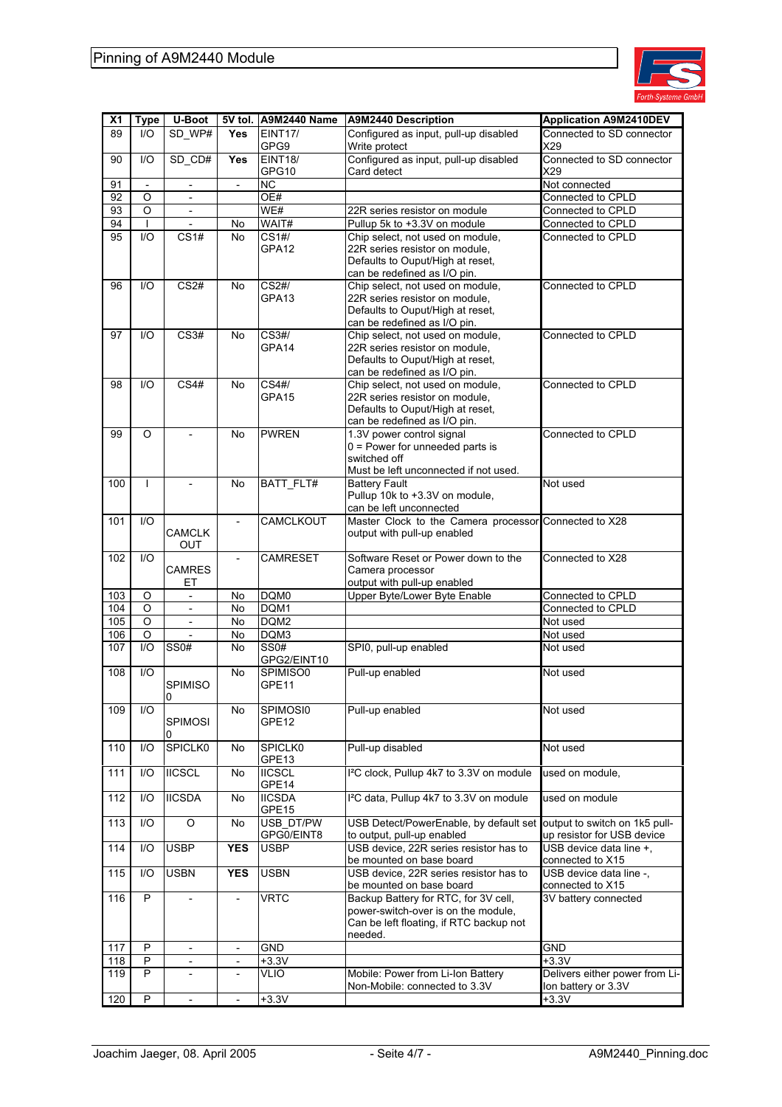

| X <sub>1</sub> | <b>Type</b>  | U-Boot                   |                          | 5V tol. A9M2440 Name       | A9M2440 Description                                                                                | <b>Application A9M2410DEV</b>                         |
|----------------|--------------|--------------------------|--------------------------|----------------------------|----------------------------------------------------------------------------------------------------|-------------------------------------------------------|
| 89             | I/O          | SD_WP#                   | <b>Yes</b>               | <b>EINT17/</b><br>GPG9     | Configured as input, pull-up disabled<br>Write protect                                             | Connected to SD connector<br>X29                      |
| 90             | I/O          | SD CD#                   | <b>Yes</b>               | <b>EINT18/</b><br>GPG10    | Configured as input, pull-up disabled<br>Card detect                                               | Connected to SD connector<br>X29                      |
| 91             |              | $\overline{\phantom{a}}$ | $\overline{\phantom{a}}$ | <b>NC</b>                  |                                                                                                    | Not connected                                         |
| 92             | O            |                          |                          | OE#                        |                                                                                                    | Connected to CPLD                                     |
| 93             | O            | $\overline{\phantom{a}}$ |                          | W <sub>E#</sub>            | 22R series resistor on module                                                                      | Connected to CPLD                                     |
| 94             | I.           | $\overline{\phantom{a}}$ | No                       | WAIT#                      | Pullup 5k to +3.3V on module                                                                       | Connected to CPLD                                     |
| 95             | 1/O          | CS1#                     | No.                      | CS1#/                      | Chip select, not used on module,                                                                   | Connected to CPLD                                     |
|                |              |                          |                          | GPA12                      | 22R series resistor on module,                                                                     |                                                       |
|                |              |                          |                          |                            | Defaults to Ouput/High at reset,                                                                   |                                                       |
|                |              |                          |                          |                            | can be redefined as I/O pin.                                                                       |                                                       |
| 96             | 1/O          | CS <sub>2#</sub>         | No.                      | CS2#/<br>GPA13             | Chip select, not used on module,<br>22R series resistor on module,                                 | Connected to CPLD                                     |
|                |              |                          |                          |                            | Defaults to Ouput/High at reset,                                                                   |                                                       |
|                |              |                          |                          |                            | can be redefined as I/O pin.                                                                       |                                                       |
| 97             | 1/O          | CS3#                     | No.                      | CS3#/                      | Chip select, not used on module,                                                                   | Connected to CPLD                                     |
|                |              |                          |                          | GPA14                      | 22R series resistor on module,                                                                     |                                                       |
|                |              |                          |                          |                            | Defaults to Ouput/High at reset,                                                                   |                                                       |
|                |              |                          |                          |                            | can be redefined as I/O pin.                                                                       |                                                       |
| 98             | 1/O          | CS <sub>4#</sub>         | No.                      | $\overline{\text{CS4#}}$   | Chip select, not used on module,                                                                   | Connected to CPLD                                     |
|                |              |                          |                          | GPA15                      | 22R series resistor on module,                                                                     |                                                       |
|                |              |                          |                          |                            | Defaults to Ouput/High at reset,<br>can be redefined as I/O pin.                                   |                                                       |
| 99             | O            |                          | No.                      | <b>PWREN</b>               | 1.3V power control signal                                                                          | Connected to CPLD                                     |
|                |              |                          |                          |                            | $0 =$ Power for unneeded parts is                                                                  |                                                       |
|                |              |                          |                          |                            | switched off                                                                                       |                                                       |
|                |              |                          |                          |                            | Must be left unconnected if not used.                                                              |                                                       |
| 100            | $\mathbf{I}$ | $\overline{\phantom{a}}$ | No.                      | BATT_FLT#                  | <b>Battery Fault</b>                                                                               | Not used                                              |
|                |              |                          |                          |                            | Pullup 10k to +3.3V on module,                                                                     |                                                       |
|                |              |                          |                          |                            | can be left unconnected                                                                            |                                                       |
| 101            | 1/O          |                          | $\overline{\phantom{a}}$ | CAMCLKOUT                  | Master Clock to the Camera processor Connected to X28                                              |                                                       |
|                |              | <b>CAMCLK</b><br>OUT     |                          |                            | output with pull-up enabled                                                                        |                                                       |
| 102            | $1/O$        |                          | $\overline{\phantom{a}}$ | <b>CAMRESET</b>            | Software Reset or Power down to the                                                                | Connected to X28                                      |
|                |              | CAMRES                   |                          |                            | Camera processor                                                                                   |                                                       |
|                |              | ЕT                       |                          |                            | output with pull-up enabled                                                                        |                                                       |
| 103            | O            | $\overline{\phantom{a}}$ | No                       | DQM0                       | Upper Byte/Lower Byte Enable                                                                       | Connected to CPLD                                     |
| 104            | O            |                          | No.                      | DQM1                       |                                                                                                    | Connected to CPLD                                     |
| 105            | O            | $\mathbf{r}$             | No.                      | DQM2                       |                                                                                                    | Not used                                              |
| 106            | O            |                          | No                       | DQM3                       |                                                                                                    | Not used                                              |
| 107            | $1/O$        | <b>SS0#</b>              | No.                      | <b>SS0#</b><br>GPG2/EINT10 | SPI0, pull-up enabled                                                                              | Not used                                              |
| 108            | 1/O          |                          | No.                      | SPIMISO0                   | Pull-up enabled                                                                                    | Not used                                              |
|                |              | SPIMISO                  |                          | GPE11                      |                                                                                                    |                                                       |
|                |              | 0                        |                          |                            |                                                                                                    |                                                       |
| 109            | I/O          |                          | No                       | SPIMOSI0                   | Pull-up enabled                                                                                    | Not used                                              |
|                |              | <b>SPIMOSI</b>           |                          | GPE12                      |                                                                                                    |                                                       |
|                | 1/O          | <b>SPICLK0</b>           |                          | <b>SPICLK0</b>             |                                                                                                    |                                                       |
| 110            |              |                          | No                       | GPE13                      | Pull-up disabled                                                                                   | Not used                                              |
| 111            | 1/O          | <b>IICSCL</b>            | No                       | <b>IICSCL</b>              | I <sup>2</sup> C clock, Pullup 4k7 to 3.3V on module                                               | used on module,                                       |
|                |              |                          |                          | GPE14                      |                                                                                                    |                                                       |
| 112            | 1/O          | <b>IICSDA</b>            | No                       | <b>IICSDA</b>              | I <sup>2</sup> C data, Pullup 4k7 to 3.3V on module                                                | used on module                                        |
|                |              |                          |                          | GPE15                      |                                                                                                    |                                                       |
| 113            | I/O          | $\overline{O}$           | No                       | USB_DT/PW<br>GPG0/EINT8    | USB Detect/PowerEnable, by default set output to switch on 1k5 pull-<br>to output, pull-up enabled |                                                       |
| 114            | I/O          | <b>USBP</b>              | <b>YES</b>               | <b>USBP</b>                | USB device, 22R series resistor has to                                                             | up resistor for USB device<br>USB device data line +, |
|                |              |                          |                          |                            | be mounted on base board                                                                           | connected to X15                                      |
| 115            | 1/O          | <b>USBN</b>              | <b>YES</b>               | <b>USBN</b>                | USB device, 22R series resistor has to                                                             | USB device data line -,                               |
|                |              |                          |                          |                            | be mounted on base board                                                                           | connected to X15                                      |
| 116            | P            |                          |                          | <b>VRTC</b>                | Backup Battery for RTC, for 3V cell,                                                               | 3V battery connected                                  |
|                |              |                          |                          |                            | power-switch-over is on the module,                                                                |                                                       |
|                |              |                          |                          |                            | Can be left floating, if RTC backup not<br>needed.                                                 |                                                       |
| 117            | P            | $\overline{\phantom{a}}$ | $\overline{\phantom{a}}$ | <b>GND</b>                 |                                                                                                    | GND                                                   |
| 118            | P            | $\overline{\phantom{a}}$ | $\overline{\phantom{a}}$ | $+3.3V$                    |                                                                                                    | $+3.3V$                                               |
| 119            | P            |                          | $\overline{\phantom{a}}$ | VLIO                       | Mobile: Power from Li-Ion Battery                                                                  | Delivers either power from Li-                        |
|                |              |                          |                          |                            | Non-Mobile: connected to 3.3V                                                                      | lon battery or 3.3V                                   |
| 120            | $\mathsf{P}$ | $\overline{\phantom{a}}$ | $\overline{\phantom{a}}$ | $+3.3V$                    |                                                                                                    | $+3.3V$                                               |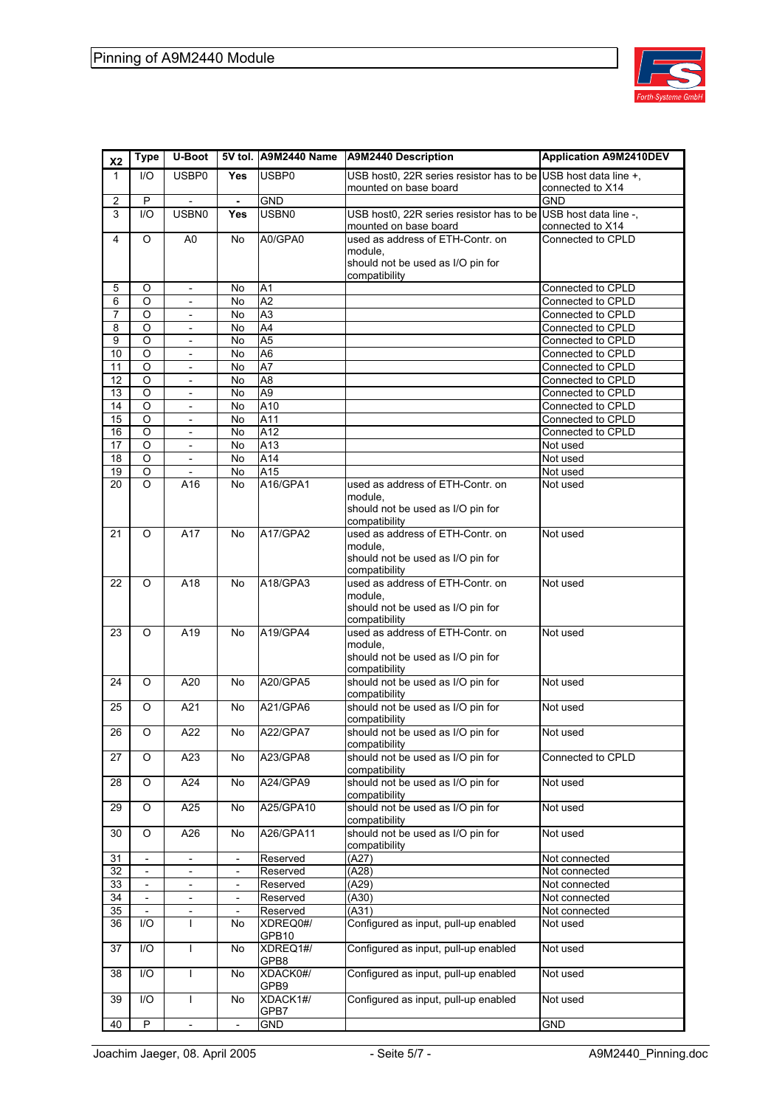

| X <sub>2</sub>  | <b>Type</b>              | U-Boot                                               |                                                      | 5V tol. A9M2440 Name               | A9M2440 Description                                               | <b>Application A9M2410DEV</b>             |
|-----------------|--------------------------|------------------------------------------------------|------------------------------------------------------|------------------------------------|-------------------------------------------------------------------|-------------------------------------------|
| $\mathbf{1}$    | 1/O                      | USBP0                                                | <b>Yes</b>                                           | USBP0                              | USB host0, 22R series resistor has to be                          | USB host data line +,                     |
|                 |                          |                                                      |                                                      |                                    | mounted on base board                                             | connected to X14                          |
| 2               | P                        | $\overline{a}$                                       | $\blacksquare$                                       | <b>GND</b>                         |                                                                   | <b>GND</b>                                |
| 3               | 1/O                      | <b>USBN0</b>                                         | Yes                                                  | <b>USBN0</b>                       | USB host0, 22R series resistor has to be<br>mounted on base board | USB host data line -,<br>connected to X14 |
| 4               | O                        | A0                                                   | No                                                   | A0/GPA0                            | used as address of ETH-Contr. on                                  | Connected to CPLD                         |
|                 |                          |                                                      |                                                      |                                    | module,                                                           |                                           |
|                 |                          |                                                      |                                                      |                                    | should not be used as I/O pin for                                 |                                           |
|                 |                          |                                                      |                                                      |                                    | compatibility                                                     |                                           |
| 5               | O                        | $\overline{\phantom{a}}$                             | No<br>No                                             | A1<br>A2                           |                                                                   | Connected to CPLD                         |
| 6<br>7          | O<br>$\circ$             | $\overline{\phantom{a}}$<br>$\overline{a}$           | No.                                                  | A3                                 |                                                                   | Connected to CPLD<br>Connected to CPLD    |
| 8               | O                        | $\overline{\phantom{a}}$                             | No                                                   | A4                                 |                                                                   | Connected to CPLD                         |
| 9               | O                        | $\overline{\phantom{a}}$                             | No                                                   | A <sub>5</sub>                     |                                                                   | Connected to CPLD                         |
| 10              | O                        | $\overline{\phantom{a}}$                             | No.                                                  | A6                                 |                                                                   | Connected to CPLD                         |
| 11              | $\circ$                  | $\overline{\phantom{a}}$                             | No                                                   | A7                                 |                                                                   | Connected to CPLD                         |
| 12              | O                        | $\overline{\phantom{a}}$                             | No                                                   | A <sub>8</sub>                     |                                                                   | Connected to CPLD                         |
| 13              | O                        | $\overline{\phantom{a}}$<br>$\Box$                   | No                                                   | A <sub>9</sub><br>$\overline{A}10$ |                                                                   | Connected to CPLD                         |
| 14<br>15        | O<br>O                   | $\overline{\phantom{a}}$                             | No<br>No                                             | A11                                |                                                                   | Connected to CPLD<br>Connected to CPLD    |
| 16              | O                        | $\overline{\phantom{a}}$                             | No                                                   | A12                                |                                                                   | Connected to CPLD                         |
| 17              | O                        | $\Box$                                               | No                                                   | A13                                |                                                                   | Not used                                  |
| 18              | O                        | $\overline{\phantom{a}}$                             | No                                                   | A14                                |                                                                   | Not used                                  |
| 19              | O                        |                                                      | No                                                   | A15                                |                                                                   | Not used                                  |
| 20              | O                        | A16                                                  | No.                                                  | A16/GPA1                           | used as address of ETH-Contr. on                                  | Not used                                  |
|                 |                          |                                                      |                                                      |                                    | module.<br>should not be used as I/O pin for                      |                                           |
|                 |                          |                                                      |                                                      |                                    | compatibility                                                     |                                           |
| 21              | O                        | A17                                                  | No                                                   | A17/GPA2                           | used as address of ETH-Contr. on                                  | Not used                                  |
|                 |                          |                                                      |                                                      |                                    | module,                                                           |                                           |
|                 |                          |                                                      |                                                      |                                    | should not be used as I/O pin for                                 |                                           |
| 22              | O                        | A18                                                  | No                                                   | A18/GPA3                           | compatibility<br>used as address of ETH-Contr. on                 |                                           |
|                 |                          |                                                      |                                                      |                                    | module,                                                           | Not used                                  |
|                 |                          |                                                      |                                                      |                                    | should not be used as I/O pin for                                 |                                           |
|                 |                          |                                                      |                                                      |                                    | compatibility                                                     |                                           |
| 23              | O                        | A19                                                  | No                                                   | A19/GPA4                           | used as address of ETH-Contr. on                                  | Not used                                  |
|                 |                          |                                                      |                                                      |                                    | module,<br>should not be used as I/O pin for                      |                                           |
|                 |                          |                                                      |                                                      |                                    | compatibility                                                     |                                           |
| 24              | O                        | A20                                                  | No                                                   | A20/GPA5                           | should not be used as I/O pin for                                 | Not used                                  |
|                 |                          |                                                      |                                                      |                                    | compatibility                                                     |                                           |
| 25              | O                        | A21                                                  | No.                                                  | A21/GPA6                           | should not be used as I/O pin for                                 | Not used                                  |
| 26              | O                        | A22                                                  | No.                                                  | <b>A22/GPA7</b>                    | compatibility<br>should not be used as I/O pin for                | Not used                                  |
|                 |                          |                                                      |                                                      |                                    | compatibility                                                     |                                           |
| 27              | O                        | A23                                                  | No                                                   | A23/GPA8                           | should not be used as I/O pin for                                 | Connected to CPLD                         |
|                 |                          |                                                      |                                                      |                                    | compatibility                                                     |                                           |
| 28              | O                        | A24                                                  | No                                                   | A24/GPA9                           | should not be used as I/O pin for                                 | Not used                                  |
| 29              | O                        | A25                                                  | No                                                   | A25/GPA10                          | compatibility<br>should not be used as I/O pin for                | Not used                                  |
|                 |                          |                                                      |                                                      |                                    | compatibility                                                     |                                           |
| 30              | O                        | A26                                                  | No                                                   | A26/GPA11                          | should not be used as I/O pin for                                 | Not used                                  |
|                 |                          |                                                      |                                                      |                                    | compatibility                                                     |                                           |
| 31              |                          |                                                      |                                                      | Reserved                           | (A27)                                                             | Not connected                             |
| 32              | $\mathbf{r}$             | $\overline{\phantom{a}}$                             | $\blacksquare$                                       | Reserved                           | (A28)                                                             | Not connected                             |
| 33              |                          | $\overline{\phantom{a}}$                             | $\overline{\phantom{a}}$                             | Reserved                           | (A29)                                                             | Not connected<br>Not connected            |
| 34<br>35        | $\overline{\phantom{a}}$ | $\overline{\phantom{a}}$<br>$\overline{\phantom{a}}$ | $\overline{\phantom{a}}$<br>$\overline{\phantom{a}}$ | Reserved<br>Reserved               | (A30)<br>(A31)                                                    | Not connected                             |
| 36              | I/O                      | $\mathbf{I}$                                         | No                                                   | XDREQ0#/                           | Configured as input, pull-up enabled                              | Not used                                  |
|                 |                          |                                                      |                                                      | GPB10                              |                                                                   |                                           |
| 37              | $\mathsf{I}/\mathsf{O}$  | $\mathbf{I}$                                         | No                                                   | XDREQ1#/                           | Configured as input, pull-up enabled                              | Not used                                  |
|                 |                          |                                                      |                                                      | GPB8                               |                                                                   |                                           |
| $\overline{38}$ | I/O                      | $\mathbf{I}$                                         | No                                                   | XDACK0#/<br>GPB9                   | Configured as input, pull-up enabled                              | Not used                                  |
| 39              | I/O                      | $\mathbf{I}$                                         | No                                                   | XDACK1#/                           | Configured as input, pull-up enabled                              | Not used                                  |
|                 |                          |                                                      |                                                      | GPB7                               |                                                                   |                                           |
| 40              | P                        | $\overline{\phantom{a}}$                             | $\overline{\phantom{a}}$                             | <b>GND</b>                         |                                                                   | <b>GND</b>                                |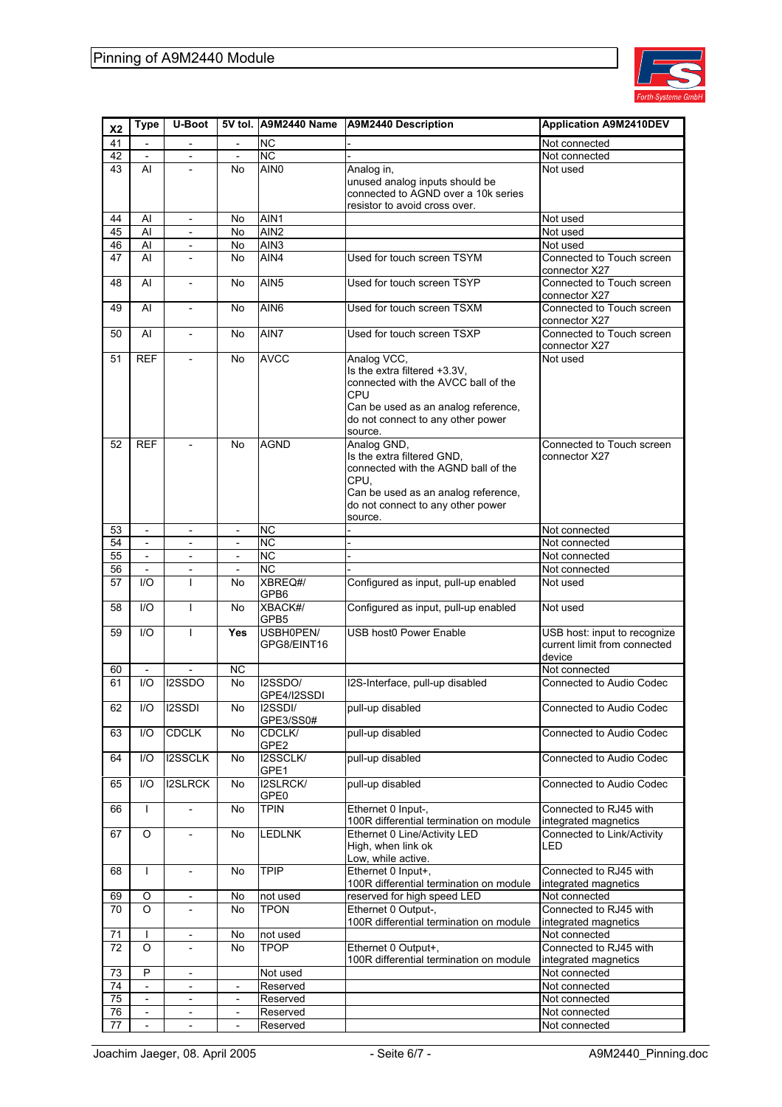

| X <sub>2</sub> | <b>Type</b>              | <b>U-Boot</b>                 |                                |                                     | 5V tol. A9M2440 Name A9M2440 Description                                                                                                                                         | <b>Application A9M2410DEV</b>                                          |
|----------------|--------------------------|-------------------------------|--------------------------------|-------------------------------------|----------------------------------------------------------------------------------------------------------------------------------------------------------------------------------|------------------------------------------------------------------------|
| 41             |                          |                               | $\overline{\phantom{a}}$       | <b>NC</b>                           |                                                                                                                                                                                  | Not connected                                                          |
| 42<br>43       | Al                       | $\overline{a}$                | No                             | $\overline{NC}$<br>AIN <sub>0</sub> | Analog in,                                                                                                                                                                       | Not connected<br>Not used                                              |
|                |                          |                               |                                |                                     | unused analog inputs should be<br>connected to AGND over a 10k series<br>resistor to avoid cross over.                                                                           |                                                                        |
| 44             | Al                       | $\overline{\phantom{a}}$      | No                             | AIN1                                |                                                                                                                                                                                  | Not used                                                               |
| 45             | Al                       | $\overline{\phantom{a}}$      | No                             | AIN <sub>2</sub>                    |                                                                                                                                                                                  | Not used                                                               |
| 46             | Al                       | $\overline{\phantom{a}}$      | No                             | AIN3                                |                                                                                                                                                                                  | Not used                                                               |
| 47             | Al                       | $\overline{a}$                | No                             | AIN4                                | Used for touch screen TSYM                                                                                                                                                       | Connected to Touch screen<br>connector X27                             |
| 48             | AI                       |                               | No                             | AIN <sub>5</sub>                    | Used for touch screen TSYP                                                                                                                                                       | Connected to Touch screen<br>connector X27                             |
| 49             | AI                       | $\overline{\phantom{a}}$      | No                             | AIN <sub>6</sub>                    | Used for touch screen TSXM                                                                                                                                                       | Connected to Touch screen<br>connector X27                             |
| 50             | AI                       | $\overline{\phantom{a}}$      | No                             | AIN7                                | Used for touch screen TSXP                                                                                                                                                       | Connected to Touch screen<br>connector X27                             |
| 51             | <b>REF</b>               | $\overline{\phantom{a}}$      | No                             | <b>AVCC</b>                         | Analog VCC,<br>Is the extra filtered +3.3V,<br>connected with the AVCC ball of the<br>CPU<br>Can be used as an analog reference,<br>do not connect to any other power<br>source. | Not used                                                               |
| 52             | <b>REF</b>               |                               | No                             | <b>AGND</b>                         | Analog GND,<br>Is the extra filtered GND,<br>connected with the AGND ball of the<br>CPU,<br>Can be used as an analog reference,<br>do not connect to any other power<br>source.  | Connected to Touch screen<br>connector X27                             |
| 53             | $\overline{\phantom{a}}$ | $\overline{\phantom{a}}$      | $\overline{\phantom{a}}$       | <b>NC</b>                           |                                                                                                                                                                                  | Not connected                                                          |
| 54             |                          |                               |                                | <b>NC</b>                           |                                                                                                                                                                                  | Not connected                                                          |
| 55             | $\overline{\phantom{a}}$ | $\overline{\phantom{a}}$      | $\overline{\phantom{a}}$       | <b>NC</b>                           |                                                                                                                                                                                  | Not connected                                                          |
| 56<br>57       | $\blacksquare$<br>1/O    | $\overline{\phantom{a}}$<br>T | $\overline{\phantom{a}}$<br>No | <b>NC</b><br>XBREQ#/                | Configured as input, pull-up enabled                                                                                                                                             | Not connected<br>Not used                                              |
|                |                          |                               |                                | GPB6                                |                                                                                                                                                                                  |                                                                        |
| 58             | 1/O                      | $\mathsf{I}$                  | No                             | XBACK#/<br>GPB5                     | Configured as input, pull-up enabled                                                                                                                                             | Not used                                                               |
| 59             | 1/O                      | $\mathsf{I}$                  | Yes                            | USBH0PEN/<br>GPG8/EINT16            | <b>USB host0 Power Enable</b>                                                                                                                                                    | USB host: input to recognize<br>current limit from connected<br>device |
| 60             | $\overline{\phantom{a}}$ |                               | NC.                            |                                     |                                                                                                                                                                                  | Not connected                                                          |
| 61             | 1/O                      | I2SSDO                        | No.                            | I2SSDO/<br>GPE4/I2SSDI              | I2S-Interface, pull-up disabled                                                                                                                                                  | Connected to Audio Codec                                               |
| 62             | I/O                      | <b>I2SSDI</b>                 | No                             | I2SSDI/<br>GPE3/SS0#                | pull-up disabled                                                                                                                                                                 | Connected to Audio Codec                                               |
| 63             | I/O                      | <b>CDCLK</b>                  | No                             | CDCLK/<br>GPE2                      | pull-up disabled                                                                                                                                                                 | Connected to Audio Codec                                               |
| 64             | I/O                      | <b>I2SSCLK</b>                | No                             | I2SSCLK/<br>GPE1                    | pull-up disabled                                                                                                                                                                 | Connected to Audio Codec                                               |
| 65             | I/O                      | <b>I2SLRCK</b>                | No                             | I2SLRCK/<br>GPE0                    | pull-up disabled                                                                                                                                                                 | Connected to Audio Codec                                               |
| 66             | $\mathbf{I}$             | $\overline{\phantom{a}}$      | No                             | <b>TPIN</b>                         | Ethernet 0 Input-,<br>100R differential termination on module                                                                                                                    | Connected to RJ45 with<br>integrated magnetics                         |
| 67             | O                        |                               | No                             | <b>LEDLNK</b>                       | Ethernet 0 Line/Activity LED<br>High, when link ok<br>Low, while active.                                                                                                         | Connected to Link/Activity<br>LED                                      |
| 68             | $\mathbf{I}$             | $\overline{\phantom{a}}$      | No                             | <b>TPIP</b>                         | Ethernet 0 Input+,<br>100R differential termination on module                                                                                                                    | Connected to RJ45 with<br>integrated magnetics                         |
| 69             | O                        | $\overline{\phantom{a}}$      | No                             | not used                            | reserved for high speed LED                                                                                                                                                      | Not connected                                                          |
| 70             | O                        | $\overline{\phantom{a}}$      | No                             | <b>TPON</b>                         | Ethernet 0 Output-,<br>100R differential termination on module                                                                                                                   | Connected to RJ45 with<br>integrated magnetics                         |
| 71             |                          | $\frac{1}{2}$                 | No                             | not used                            |                                                                                                                                                                                  | Not connected                                                          |
| 72             | O                        | $\overline{\phantom{a}}$      | No                             | <b>TPOP</b>                         | Ethernet 0 Output+,<br>100R differential termination on module                                                                                                                   | Connected to RJ45 with<br>integrated magnetics                         |
| 73             | P                        | $\overline{\phantom{a}}$      |                                | Not used                            |                                                                                                                                                                                  | Not connected                                                          |
| 74             |                          | $\overline{a}$                | $\overline{a}$                 | Reserved                            |                                                                                                                                                                                  | Not connected                                                          |
| 75             | $\overline{\phantom{a}}$ | $\overline{\phantom{a}}$      | $\overline{\phantom{a}}$       | Reserved                            |                                                                                                                                                                                  | Not connected                                                          |
| 76             | $\overline{\phantom{a}}$ | $\qquad \qquad -$             | $\overline{\phantom{a}}$       | Reserved                            |                                                                                                                                                                                  | Not connected                                                          |
| 77             | $\overline{\phantom{a}}$ | $\overline{\phantom{a}}$      | $\overline{\phantom{a}}$       | Reserved                            |                                                                                                                                                                                  | Not connected                                                          |